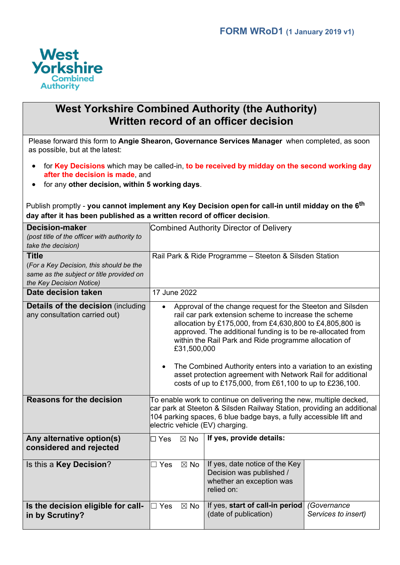

## **West Yorkshire Combined Authority (the Authority) Written record of an officer decision**

Please forward this form to **Angie Shearon, Governance Services Manager** when completed, as soon as possible, but at the latest:

- for **Key Decisions** which may be called-in, **to be received by midday on the second working day after the decision is made**, and
- for any **other decision, within 5 working days**.

Publish promptly - **you cannot implement any Key Decision open for call-in until midday on the 6 th day after it has been published as a written record of officer decision**.

| <b>Decision-maker</b><br>(post title of the officer with authority to      | Combined Authority Director of Delivery                                                                                                                                                                                                                                                                                                                                                                                                                                                                            |                                                                                                      |                                    |  |  |  |
|----------------------------------------------------------------------------|--------------------------------------------------------------------------------------------------------------------------------------------------------------------------------------------------------------------------------------------------------------------------------------------------------------------------------------------------------------------------------------------------------------------------------------------------------------------------------------------------------------------|------------------------------------------------------------------------------------------------------|------------------------------------|--|--|--|
| take the decision)                                                         |                                                                                                                                                                                                                                                                                                                                                                                                                                                                                                                    |                                                                                                      |                                    |  |  |  |
| <b>Title</b>                                                               | Rail Park & Ride Programme - Steeton & Silsden Station                                                                                                                                                                                                                                                                                                                                                                                                                                                             |                                                                                                      |                                    |  |  |  |
| (For a Key Decision, this should be the                                    |                                                                                                                                                                                                                                                                                                                                                                                                                                                                                                                    |                                                                                                      |                                    |  |  |  |
| same as the subject or title provided on                                   |                                                                                                                                                                                                                                                                                                                                                                                                                                                                                                                    |                                                                                                      |                                    |  |  |  |
| the Key Decision Notice)                                                   |                                                                                                                                                                                                                                                                                                                                                                                                                                                                                                                    |                                                                                                      |                                    |  |  |  |
| Date decision taken                                                        | 17 June 2022                                                                                                                                                                                                                                                                                                                                                                                                                                                                                                       |                                                                                                      |                                    |  |  |  |
| <b>Details of the decision (including</b><br>any consultation carried out) | Approval of the change request for the Steeton and Silsden<br>rail car park extension scheme to increase the scheme<br>allocation by £175,000, from £4,630,800 to £4,805,800 is<br>approved. The additional funding is to be re-allocated from<br>within the Rail Park and Ride programme allocation of<br>£31,500,000<br>The Combined Authority enters into a variation to an existing<br>asset protection agreement with Network Rail for additional<br>costs of up to £175,000, from £61,100 to up to £236,100. |                                                                                                      |                                    |  |  |  |
| <b>Reasons for the decision</b>                                            | To enable work to continue on delivering the new, multiple decked,<br>car park at Steeton & Silsden Railway Station, providing an additional<br>104 parking spaces, 6 blue badge bays, a fully accessible lift and<br>electric vehicle (EV) charging.                                                                                                                                                                                                                                                              |                                                                                                      |                                    |  |  |  |
| Any alternative option(s)<br>considered and rejected                       | $\Box$ Yes<br>$\boxtimes$ No                                                                                                                                                                                                                                                                                                                                                                                                                                                                                       | If yes, provide details:                                                                             |                                    |  |  |  |
| Is this a Key Decision?                                                    | $\boxtimes$ No<br>$\Box$ Yes                                                                                                                                                                                                                                                                                                                                                                                                                                                                                       | If yes, date notice of the Key<br>Decision was published /<br>whether an exception was<br>relied on: |                                    |  |  |  |
| Is the decision eligible for call-<br>in by Scrutiny?                      | $\Box$ Yes<br>$\boxtimes$ No                                                                                                                                                                                                                                                                                                                                                                                                                                                                                       | If yes, start of call-in period<br>(date of publication)                                             | (Governance<br>Services to insert) |  |  |  |